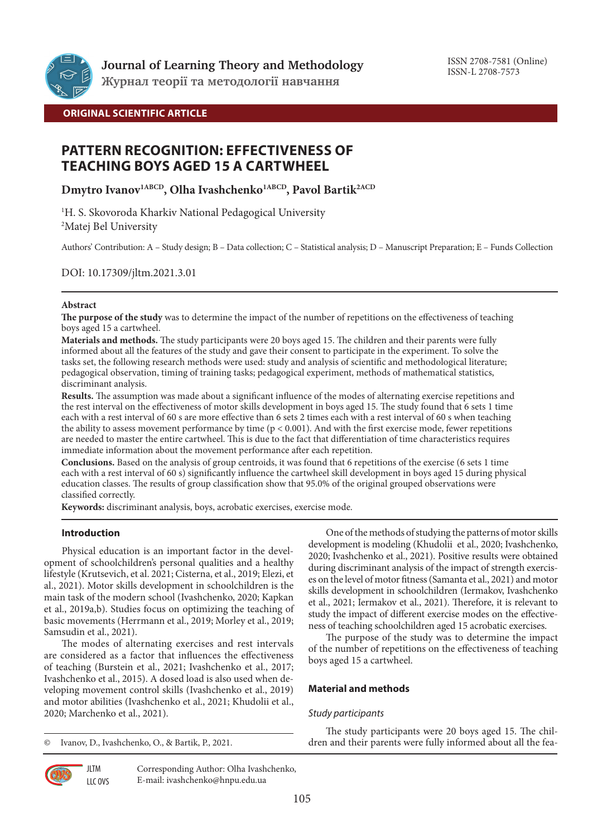

**Журнал теорії та методології навчання**

ISSN 2708-7581 (Online)

## **ORIGINAL SCIENTIFIC ARTICLE**

# **PATTERN RECOGNITION: EFFECTIVENESS OF TEACHING BOYS AGED 15 A CARTWHEEL**

Dmytro Ivanov<sup>1ABCD</sup>, Olha Ivashchenko<sup>1ABCD</sup>, Pavol Bartik<sup>2ACD</sup>

1 H. S. Skovoroda Kharkiv National Pedagogical University 2 Matej Bel University

Authors' Contribution: A – Study design; B – Data collection; C – Statistical analysis; D – Manuscript Preparation; E – Funds Collection

DOI: 10.17309/jltm.2021.3.01

#### **Abstract**

**The purpose of the study** was to determine the impact of the number of repetitions on the effectiveness of teaching boys aged 15 a cartwheel.

**Materials and methods.** The study participants were 20 boys aged 15. The children and their parents were fully informed about all the features of the study and gave their consent to participate in the experiment. To solve the tasks set, the following research methods were used: study and analysis of scientific and methodological literature; pedagogical observation, timing of training tasks; pedagogical experiment, methods of mathematical statistics, discriminant analysis.

**Results.** The assumption was made about a significant influence of the modes of alternating exercise repetitions and the rest interval on the effectiveness of motor skills development in boys aged 15. The study found that 6 sets 1 time each with a rest interval of 60 s are more effective than 6 sets 2 times each with a rest interval of 60 s when teaching the ability to assess movement performance by time  $(p < 0.001)$ . And with the first exercise mode, fewer repetitions are needed to master the entire cartwheel. This is due to the fact that differentiation of time characteristics requires immediate information about the movement performance after each repetition.

**Conclusions.** Based on the analysis of group centroids, it was found that 6 repetitions of the exercise (6 sets 1 time each with a rest interval of 60 s) significantly influence the cartwheel skill development in boys aged 15 during physical education classes. The results of group classification show that 95.0% of the original grouped observations were classified correctly.

**Keywords:** discriminant analysis, boys, acrobatic exercises, exercise mode.

## **Introduction**

Physical education is an important factor in the development of schoolchildren's personal qualities and a healthy lifestyle (Krutsevich, et al. 2021; Cisterna, et al., 2019; Elezi, et al., 2021). Motor skills development in schoolchildren is the main task of the modern school (Ivashchenko, 2020; Kapkan et al., 2019a,b). Studies focus on optimizing the teaching of basic movements (Herrmann et al., 2019; Morley et al., 2019; Samsudin et al., 2021).

The modes of alternating exercises and rest intervals are considered as a factor that influences the effectiveness of teaching (Burstein et al., 2021; Ivashchenko et al., 2017; Ivashchenko et al., 2015). A dosed load is also used when developing movement control skills (Ivashchenko et al., 2019) and motor abilities (Ivashchenko et al., 2021; Khudolii et al., 2020; Marchenko et al., 2021).

© Ivanov, D., Ivashchenko, O., & Bartik, P., 2021.

One of the methods of studying the patterns of motor skills development is modeling (Khudolii et al., 2020; Ivashchenko, 2020; Ivashchenko et al., 2021). Positive results were obtained during discriminant analysis of the impact of strength exercises on the level of motor fitness (Samanta et al., 2021) and motor skills development in schoolchildren (Iermakov, Ivashchenko et al., 2021; Iermakov et al., 2021). Therefore, it is relevant to study the impact of different exercise modes on the effectiveness of teaching schoolchildren aged 15 acrobatic exercises.

The purpose of the study was to determine the impact of the number of repetitions on the effectiveness of teaching boys aged 15 a cartwheel.

## **Material and methods**

## *Study participants*

The study participants were 20 boys aged 15. The children and their parents were fully informed about all the fea-



**JLTM** LLC OVS Corresponding Author: Olha Ivashchenko, E-mail: ivashchenko@hnpu.edu.ua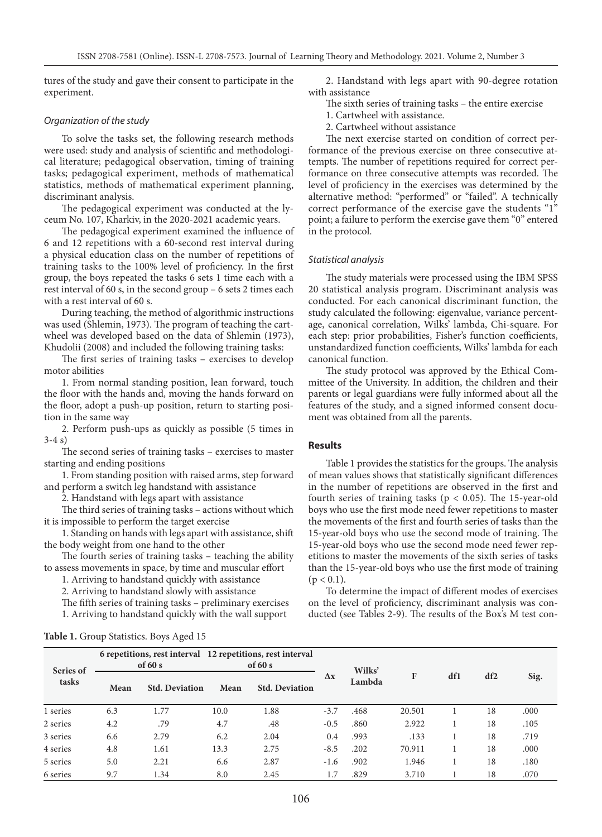tures of the study and gave their consent to participate in the experiment.

#### *Organization of the study*

To solve the tasks set, the following research methods were used: study and analysis of scientific and methodological literature; pedagogical observation, timing of training tasks; pedagogical experiment, methods of mathematical statistics, methods of mathematical experiment planning, discriminant analysis.

The pedagogical experiment was conducted at the lyceum No. 107, Kharkiv, in the 2020-2021 academic years.

The pedagogical experiment examined the influence of 6 and 12 repetitions with a 60-second rest interval during a physical education class on the number of repetitions of training tasks to the 100% level of proficiency. In the first group, the boys repeated the tasks 6 sets 1 time each with a rest interval of 60 s, in the second group – 6 sets 2 times each with a rest interval of 60 s.

During teaching, the method of algorithmic instructions was used (Shlemin, 1973). The program of teaching the cartwheel was developed based on the data of Shlemin (1973), Khudolii (2008) and included the following training tasks:

The first series of training tasks – exercises to develop motor abilities

1. From normal standing position, lean forward, touch the floor with the hands and, moving the hands forward on the floor, adopt a push-up position, return to starting position in the same way

2. Perform push-ups as quickly as possible (5 times in 3-4 s)

The second series of training tasks – exercises to master starting and ending positions

1. From standing position with raised arms, step forward and perform a switch leg handstand with assistance

2. Handstand with legs apart with assistance

The third series of training tasks – actions without which it is impossible to perform the target exercise

1. Standing on hands with legs apart with assistance, shift the body weight from one hand to the other

The fourth series of training tasks – teaching the ability to assess movements in space, by time and muscular effort

1. Arriving to handstand quickly with assistance

2. Arriving to handstand slowly with assistance

The fifth series of training tasks – preliminary exercises 1. Arriving to handstand quickly with the wall support

**Table 1.** Group Statistics. Boys Aged 15

2. Handstand with legs apart with 90-degree rotation with assistance

- The sixth series of training tasks the entire exercise
- 1. Cartwheel with assistance.
- 2. Cartwheel without assistance

The next exercise started on condition of correct performance of the previous exercise on three consecutive attempts. The number of repetitions required for correct performance on three consecutive attempts was recorded. The level of proficiency in the exercises was determined by the alternative method: "performed" or "failed". A technically correct performance of the exercise gave the students "1" point; a failure to perform the exercise gave them "0" entered in the protocol.

## *Statistical analysis*

The study materials were processed using the IBM SPSS 20 statistical analysis program. Discriminant analysis was conducted. For each canonical discriminant function, the study calculated the following: eigenvalue, variance percentage, canonical correlation, Wilks' lambda, Chi-square. For each step: prior probabilities, Fisher's function coefficients, unstandardized function coefficients, Wilks' lambda for each canonical function.

The study protocol was approved by the Ethical Committee of the University. In addition, the children and their parents or legal guardians were fully informed about all the features of the study, and a signed informed consent document was obtained from all the parents.

## **Results**

Table 1 provides the statistics for the groups. The analysis of mean values shows that statistically significant differences in the number of repetitions are observed in the first and fourth series of training tasks ( $p < 0.05$ ). The 15-year-old boys who use the first mode need fewer repetitions to master the movements of the first and fourth series of tasks than the 15-year-old boys who use the second mode of training. The 15-year-old boys who use the second mode need fewer repetitions to master the movements of the sixth series of tasks than the 15-year-old boys who use the first mode of training  $(p < 0.1)$ .

To determine the impact of different modes of exercises on the level of proficiency, discriminant analysis was conducted (see Tables 2-9). The results of the Box's M test con-

| Series of<br>tasks | 6 repetitions, rest interval 12 repetitions, rest interval<br>of $60 s$ |                       | of $60 s$ |                       |            | Wilks' |        |     |     |      |
|--------------------|-------------------------------------------------------------------------|-----------------------|-----------|-----------------------|------------|--------|--------|-----|-----|------|
|                    | Mean                                                                    | <b>Std. Deviation</b> | Mean      | <b>Std. Deviation</b> | $\Delta x$ | Lambda | F      | df1 | df2 | Sig. |
| 1 series           | 6.3                                                                     | 1.77                  | 10.0      | 1.88                  | $-3.7$     | .468   | 20.501 |     | 18  | .000 |
| 2 series           | 4.2                                                                     | .79                   | 4.7       | .48                   | $-0.5$     | .860   | 2.922  |     | 18  | .105 |
| 3 series           | 6.6                                                                     | 2.79                  | 6.2       | 2.04                  | 0.4        | .993   | .133   |     | 18  | .719 |
| 4 series           | 4.8                                                                     | 1.61                  | 13.3      | 2.75                  | $-8.5$     | .202   | 70.911 |     | 18  | .000 |
| 5 series           | 5.0                                                                     | 2.21                  | 6.6       | 2.87                  | $-1.6$     | .902   | 1.946  |     | 18  | .180 |
| 6 series           | 9.7                                                                     | 1.34                  | 8.0       | 2.45                  | 1.7        | .829   | 3.710  |     | 18  | .070 |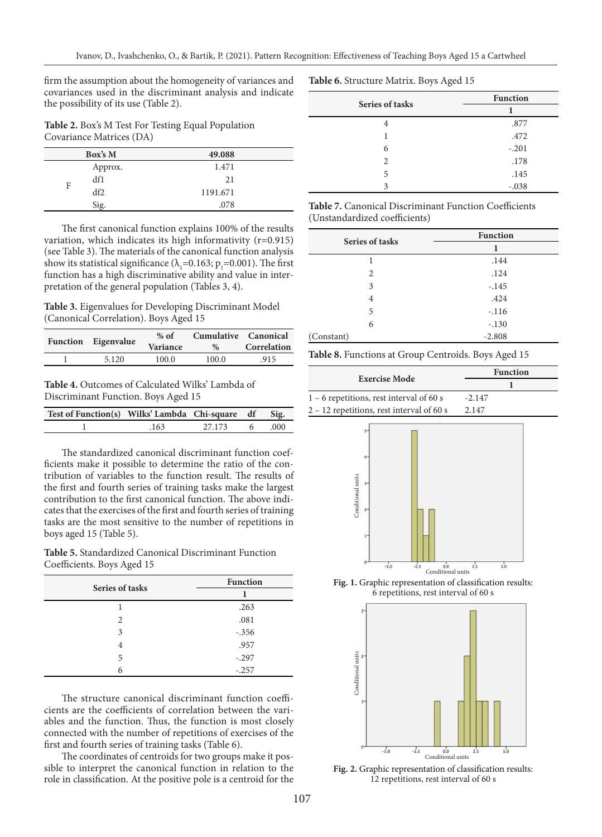firm the assumption about the homogeneity of variances and covariances used in the discriminant analysis and indicate the possibility of its use (Table 2).

**Table 2.** Box's M Test For Testing Equal Population Covariance Matrices (DA)

| Box's M |         | 49.088   |  |
|---------|---------|----------|--|
| F       | Approx. | 1.471    |  |
|         | df1     | 21       |  |
|         | df2     | 1191.671 |  |
|         | Sig.    | .078     |  |

The first canonical function explains 100% of the results variation, which indicates its high informativity  $(r=0.915)$ (see Table 3). The materials of the canonical function analysis show its statistical significance  $(\lambda_1=0.163; p_1=0.001)$ . The first function has a high discriminative ability and value in interpretation of the general population (Tables 3, 4).

**Table 3.** Eigenvalues for Developing Discriminant Model (Canonical Correlation). Boys Aged 15

| Function Eigenvalue | % of     | Cumulative Canonical |             |  |
|---------------------|----------|----------------------|-------------|--|
|                     | Variance | $\%$                 | Correlation |  |
| 5.120               | 100.0    | 100.0                | 915         |  |

**Table 4.** Outcomes of Calculated Wilks' Lambda of Discriminant Function. Boys Aged 15

| Test of Function(s) Wilks' Lambda Chi-square df Sig. |      |        |       |
|------------------------------------------------------|------|--------|-------|
|                                                      | .163 | 27.173 | 6 000 |

The standardized canonical discriminant function coefficients make it possible to determine the ratio of the contribution of variables to the function result. The results of the first and fourth series of training tasks make the largest contribution to the first canonical function. The above indicates that the exercises of the first and fourth series of training tasks are the most sensitive to the number of repetitions in boys aged 15 (Table 5).

**Table 5.** Standardized Canonical Discriminant Function Coefficients. Boys Aged 15

| Series of tasks | <b>Function</b> |  |  |
|-----------------|-----------------|--|--|
|                 |                 |  |  |
|                 | .263            |  |  |
| 2               | .081            |  |  |
| 3               | $-.356$         |  |  |
| 4               | .957            |  |  |
| 5               | $-.297$         |  |  |
| 6               | $-.257$         |  |  |

The structure canonical discriminant function coefficients are the coefficients of correlation between the variables and the function. Thus, the function is most closely connected with the number of repetitions of exercises of the first and fourth series of training tasks (Table 6).

The coordinates of centroids for two groups make it possible to interpret the canonical function in relation to the role in classification. At the positive pole is a centroid for the **Table 6.** Structure Matrix. Boys Aged 15

| Series of tasks | <b>Function</b> |  |  |
|-----------------|-----------------|--|--|
|                 |                 |  |  |
| 4               | .877            |  |  |
|                 | .472            |  |  |
| 6               | $-.201$         |  |  |
| 2               | .178            |  |  |
| 5               | .145            |  |  |
| 3               | $-.038$         |  |  |

**Table 7.** Canonical Discriminant Function Coefficients (Unstandardized coefficients)

| Series of tasks | <b>Function</b> |  |  |
|-----------------|-----------------|--|--|
|                 |                 |  |  |
|                 | .144            |  |  |
| $\overline{c}$  | .124            |  |  |
| 3               | $-.145$         |  |  |
| 4               | .424            |  |  |
| 5               | $-.116$         |  |  |
| 6               | $-.130$         |  |  |
| (Constant)      | $-2.808$        |  |  |

**Table 8.** Functions at Group Centroids. Boys Aged 15

|                                             | <b>Function</b> |  |  |
|---------------------------------------------|-----------------|--|--|
| <b>Exercise Mode</b>                        |                 |  |  |
| $1 - 6$ repetitions, rest interval of 60 s  | $-2.147$        |  |  |
| $2 - 12$ repetitions, rest interval of 60 s | 2.147           |  |  |



**Fig. 1.** Graphic representation of classification results: 6 repetitions, rest interval of 60 s



**Fig. 2.** Graphic representation of classification results: 12 repetitions, rest interval of 60 s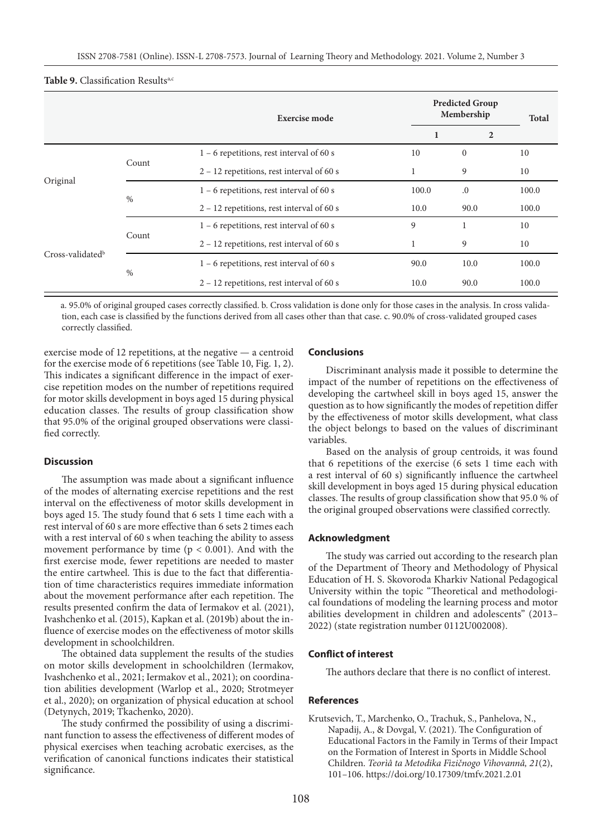Table 9. Classification Results<sup>a,c</sup>

|                              |       | Exercise mode                               |       | <b>Predicted Group</b><br>Membership |       |  |
|------------------------------|-------|---------------------------------------------|-------|--------------------------------------|-------|--|
|                              |       |                                             | 1     | $\overline{2}$                       |       |  |
|                              | Count | $1 - 6$ repetitions, rest interval of 60 s  | 10    | $\mathbf{0}$                         | 10    |  |
|                              |       | $2 - 12$ repetitions, rest interval of 60 s |       | 9                                    | 10    |  |
| Original                     | $\%$  | $1 - 6$ repetitions, rest interval of 60 s  | 100.0 | $\cdot$                              | 100.0 |  |
|                              |       | $2 - 12$ repetitions, rest interval of 60 s | 10.0  | 90.0                                 | 100.0 |  |
|                              | Count | $1 - 6$ repetitions, rest interval of 60 s  | 9     |                                      | 10    |  |
|                              |       | $2 - 12$ repetitions, rest interval of 60 s |       | 9                                    | 10    |  |
| Cross-validated <sup>b</sup> | $\%$  | $1 - 6$ repetitions, rest interval of 60 s  | 90.0  | 10.0                                 | 100.0 |  |
|                              |       | $2 - 12$ repetitions, rest interval of 60 s | 10.0  | 90.0                                 | 100.0 |  |

a. 95.0% of original grouped cases correctly classified. b. Cross validation is done only for those cases in the analysis. In cross validation, each case is classified by the functions derived from all cases other than that case. c. 90.0% of cross-validated grouped cases correctly classified.

exercise mode of 12 repetitions, at the negative — a centroid for the exercise mode of 6 repetitions (see Table 10, Fig. 1, 2). This indicates a significant difference in the impact of exercise repetition modes on the number of repetitions required for motor skills development in boys aged 15 during physical education classes. The results of group classification show that 95.0% of the original grouped observations were classified correctly.

#### **Discussion**

The assumption was made about a significant influence of the modes of alternating exercise repetitions and the rest interval on the effectiveness of motor skills development in boys aged 15. The study found that 6 sets 1 time each with a rest interval of 60 s are more effective than 6 sets 2 times each with a rest interval of 60 s when teaching the ability to assess movement performance by time ( $p < 0.001$ ). And with the first exercise mode, fewer repetitions are needed to master the entire cartwheel. This is due to the fact that differentiation of time characteristics requires immediate information about the movement performance after each repetition. The results presented confirm the data of Iermakov et al. (2021), Ivashchenko et al. (2015), Kapkan et al. (2019b) about the influence of exercise modes on the effectiveness of motor skills development in schoolchildren.

The obtained data supplement the results of the studies on motor skills development in schoolchildren (Iermakov, Ivashchenko et al., 2021; Iermakov et al., 2021); on coordination abilities development (Warlop et al., 2020; Strotmeyer et al., 2020); on organization of physical education at school (Detynych, 2019; Tkachenko, 2020).

The study confirmed the possibility of using a discriminant function to assess the effectiveness of different modes of physical exercises when teaching acrobatic exercises, as the verification of canonical functions indicates their statistical significance.

#### **Conclusions**

Discriminant analysis made it possible to determine the impact of the number of repetitions on the effectiveness of developing the cartwheel skill in boys aged 15, answer the question as to how significantly the modes of repetition differ by the effectiveness of motor skills development, what class the object belongs to based on the values of discriminant variables.

Based on the analysis of group centroids, it was found that 6 repetitions of the exercise (6 sets 1 time each with a rest interval of 60 s) significantly influence the cartwheel skill development in boys aged 15 during physical education classes. The results of group classification show that 95.0 % of the original grouped observations were classified correctly.

#### **Acknowledgment**

The study was carried out according to the research plan of the Department of Theory and Methodology of Physical Education of H. S. Skovoroda Kharkiv National Pedagogical University within the topic "Theoretical and methodological foundations of modeling the learning process and motor abilities development in children and adolescents" (2013– 2022) (state registration number 0112U002008).

#### **Conflict of interest**

The authors declare that there is no conflict of interest.

#### **References**

Krutsevich, T., Marchenko, O., Trachuk, S., Panhelova, N., Napadij, A., & Dovgal, V. (2021). The Configuration of Educational Factors in the Family in Terms of their Impact on the Formation of Interest in Sports in Middle School Children. *Teorìâ ta Metodika Fìzičnogo Vihovannâ, 21*(2), 101–106. https://doi.org/10.17309/tmfv.2021.2.01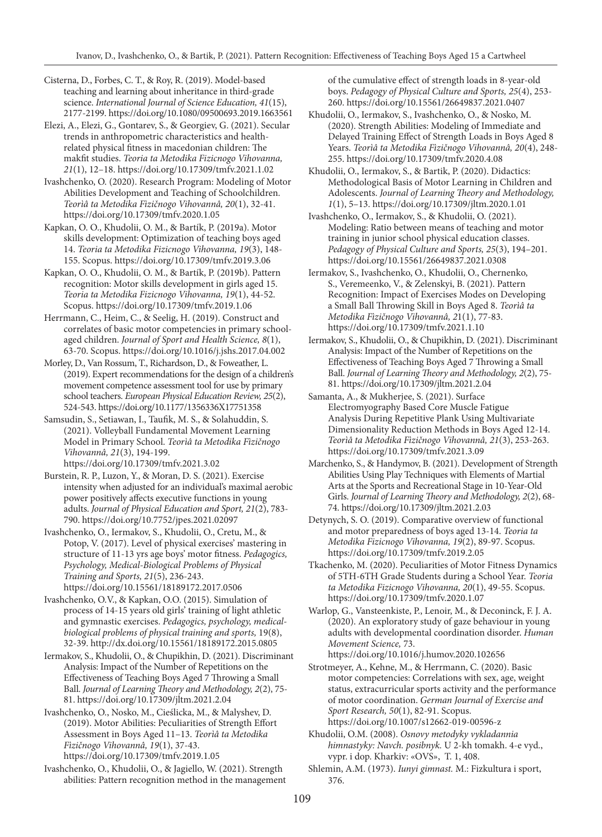Cisterna, D., Forbes, C. T., & Roy, R. (2019). Model-based teaching and learning about inheritance in third-grade science. *International Journal of Science Education, 41*(15), 2177-2199. https://doi.org/10.1080/09500693.2019.1663561

Elezi, A., Elezi, G., Gontarev, S., & Georgiev, G. (2021). Secular trends in anthropometric characteristics and healthrelated physical fitness in macedonian children: The makfit studies. *Teoria ta Metodika Fizicnogo Vihovanna, 21*(1), 12–18. https://doi.org/10.17309/tmfv.2021.1.02

Ivashchenko, O. (2020). Research Program: Modeling of Motor Abilities Development and Teaching of Schoolchildren. *Teorìâ ta Metodika Fìzičnogo Vihovannâ, 20*(1), 32-41. https://doi.org/10.17309/tmfv.2020.1.05

Kapkan, O. O., Khudolii, O. M., & Bartík, P. (2019a). Motor skills development: Optimization of teaching boys aged 14. *Teoria ta Metodika Fizicnogo Vihovanna, 19*(3), 148- 155. Scopus. https://doi.org/10.17309/tmfv.2019.3.06

Kapkan, O. O., Khudolii, O. M., & Bartík, P. (2019b). Pattern recognition: Motor skills development in girls aged 15. *Teoria ta Metodika Fizicnogo Vihovanna, 19*(1), 44-52. Scopus. https://doi.org/10.17309/tmfv.2019.1.06

Herrmann, C., Heim, C., & Seelig, H. (2019). Construct and correlates of basic motor competencies in primary schoolaged children. *Journal of Sport and Health Science, 8*(1), 63-70. Scopus. https://doi.org/10.1016/j.jshs.2017.04.002

Morley, D., Van Rossum, T., Richardson, D., & Foweather, L. (2019). Expert recommendations for the design of a children's movement competence assessment tool for use by primary school teachers. *European Physical Education Review, 25*(2), 524-543. https://doi.org/10.1177/1356336X17751358

Samsudin, S., Setiawan, I., Taufik, M. S., & Solahuddin, S. (2021). Volleyball Fundamental Movement Learning Model in Primary School. *Teorìâ ta Metodika Fìzičnogo Vihovannâ, 21*(3), 194-199. https://doi.org/10.17309/tmfv.2021.3.02

Burstein, R. P., Luzon, Y., & Moran, D. S. (2021). Exercise intensity when adjusted for an individual's maximal aerobic power positively affects executive functions in young adults. *Journal of Physical Education and Sport, 21*(2), 783- 790. https://doi.org/10.7752/jpes.2021.02097

Ivashchenko, O., Iermakov, S., Khudolii, O., Cretu, M., & Potop, V. (2017). Level of physical exercises' mastering in structure of 11-13 yrs age boys' motor fitness. *Pedagogics, Psychology, Medical-Biological Problems of Physical Training and Sports, 21*(5), 236-243. https://doi.org/10.15561/18189172.2017.0506

Ivashchenko, O.V., & Kapkan, O.O. (2015). Simulation of process of 14-15 years old girls' training of light athletic and gymnastic exercises. *Pedagogics, psychology, medicalbiological problems of physical training and sports,* 19(8), 32-39. http://dx.doi.org/10.15561/18189172.2015.0805

Iermakov, S., Khudolii, O., & Chupikhin, D. (2021). Discriminant Analysis: Impact of the Number of Repetitions on the Effectiveness of Teaching Boys Aged 7 Throwing a Small Ball. *Journal of Learning Theory and Methodology, 2*(2), 75- 81. https://doi.org/10.17309/jltm.2021.2.04

Ivashchenko, O., Nosko, M., Cieślicka, M., & Malyshev, D. (2019). Motor Abilities: Peculiarities of Strength Effort Assessment in Boys Aged 11–13. *Teorìâ ta Metodika Fìzičnogo Vihovannâ, 19*(1), 37-43. https://doi.org/10.17309/tmfv.2019.1.05

Ivashchenko, O., Khudolii, O., & Jagiello, W. (2021). Strength abilities: Pattern recognition method in the management

of the cumulative effect of strength loads in 8-year-old boys. *Pedagogy of Physical Culture and Sports, 25*(4), 253- 260. https://doi.org/10.15561/26649837.2021.0407

Khudolii, O., Iermakov, S., Ivashchenko, O., & Nosko, M. (2020). Strength Abilities: Modeling of Immediate and Delayed Training Effect of Strength Loads in Boys Aged 8 Years. *Teorìâ ta Metodika Fìzičnogo Vihovannâ, 20*(4), 248- 255. https://doi.org/10.17309/tmfv.2020.4.08

Khudolii, O., Iermakov, S., & Bartik, P. (2020). Didactics: Methodological Basis of Motor Learning in Children and Adolescents. *Journal of Learning Theory and Methodology, 1*(1), 5–13. https://doi.org/10.17309/jltm.2020.1.01

Ivashchenko, O., Iermakov, S., & Khudolii, O. (2021). Modeling: Ratio between means of teaching and motor training in junior school physical education classes. *Pedagogy of Physical Culture and Sports, 25*(3), 194–201. https://doi.org/10.15561/26649837.2021.0308

Iermakov, S., Ivashchenko, O., Khudolii, O., Chernenko, S., Veremeenko, V., & Zelenskyi, B. (2021). Pattern Recognition: Impact of Exercises Modes on Developing a Small Ball Throwing Skill in Boys Aged 8. *Teorìâ ta Metodika Fìzičnogo Vihovannâ, 2*1(1), 77-83. https://doi.org/10.17309/tmfv.2021.1.10

Iermakov, S., Khudolii, O., & Chupikhin, D. (2021). Discriminant Analysis: Impact of the Number of Repetitions on the Effectiveness of Teaching Boys Aged 7 Throwing a Small Ball. *Journal of Learning Theory and Methodology, 2*(2), 75- 81. https://doi.org/10.17309/jltm.2021.2.04

Samanta, A., & Mukherjee, S. (2021). Surface Electromyography Based Core Muscle Fatigue Analysis During Repetitive Plank Using Multivariate Dimensionality Reduction Methods in Boys Aged 12-14. *Teorìâ ta Metodika Fìzičnogo Vihovannâ, 21*(3), 253-263. https://doi.org/10.17309/tmfv.2021.3.09

Marchenko, S., & Handymov, B. (2021). Development of Strength Abilities Using Play Techniques with Elements of Martial Arts at the Sports and Recreational Stage in 10-Year-Old Girls. *Journal of Learning Theory and Methodology, 2*(2), 68- 74. https://doi.org/10.17309/jltm.2021.2.03

Detynych, S. O. (2019). Comparative overview of functional and motor preparedness of boys aged 13-14. *Teoria ta Metodika Fizicnogo Vihovanna, 19*(2), 89-97. Scopus. https://doi.org/10.17309/tmfv.2019.2.05

Tkachenko, M. (2020). Peculiarities of Motor Fitness Dynamics of 5TH-6TH Grade Students during a School Year. *Teoria ta Metodika Fizicnogo Vihovanna, 20*(1), 49-55. Scopus. https://doi.org/10.17309/tmfv.2020.1.07

Warlop, G., Vansteenkiste, P., Lenoir, M., & Deconinck, F. J. A. (2020). An exploratory study of gaze behaviour in young adults with developmental coordination disorder. *Human Movement Science,* 73. https://doi.org/10.1016/j.humov.2020.102656

Strotmeyer, A., Kehne, M., & Herrmann, C. (2020). Basic motor competencies: Correlations with sex, age, weight status, extracurricular sports activity and the performance of motor coordination. *German Journal of Exercise and Sport Research, 50*(1), 82-91. Scopus. https://doi.org/10.1007/s12662-019-00596-z

Khudolii, O.M. (2008). *Osnovy metodyky vykladannia himnastyky: Navch. posibnyk.* U 2-kh tomakh. 4-e vyd., vypr. i dop. Kharkiv: «OVS», T. 1, 408.

Shlemin, A.M. (1973). *Iunyi gimnast.* M.: Fizkultura i sport, 376.